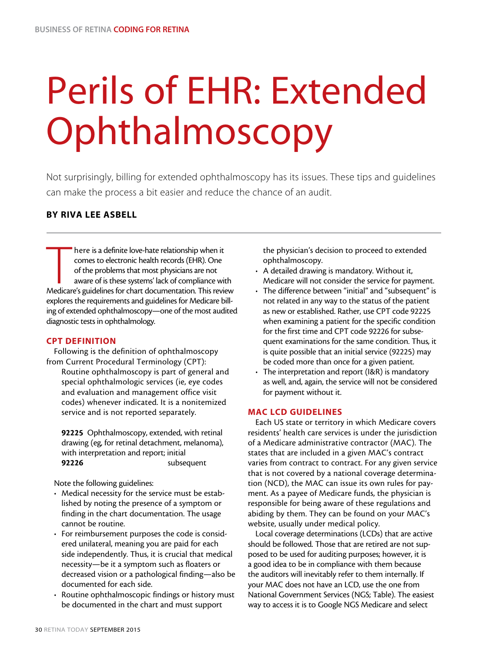# Perils of EHR: Extended Ophthalmoscopy

Not surprisingly, billing for extended ophthalmoscopy has its issues. These tips and guidelines can make the process a bit easier and reduce the chance of an audit.

# BY RIVA LEE ASBELL

There is a definite love-hate relationship when it<br>comes to electronic health records (EHR). One<br>of the problems that most physicians are not<br>aware of is these systems' lack of compliance with<br>Medicare's guidelines for cha here is a definite love-hate relationship when it comes to electronic health records (EHR). One of the problems that most physicians are not aware of is these systems' lack of compliance with explores the requirements and guidelines for Medicare billing of extended ophthalmoscopy—one of the most audited diagnostic tests in ophthalmology.

# CPT DEFINITION

Following is the definition of ophthalmoscopy from Current Procedural Terminology (CPT): Routine ophthalmoscopy is part of general and special ophthalmologic services (ie, eye codes and evaluation and management office visit codes) whenever indicated. It is a nonitemized service and is not reported separately.

92225 Ophthalmoscopy, extended, with retinal drawing (eg, for retinal detachment, melanoma), with interpretation and report; initial 92226 subsequent

Note the following guidelines:

- Medical necessity for the service must be established by noting the presence of a symptom or finding in the chart documentation. The usage cannot be routine.
- For reimbursement purposes the code is considered unilateral, meaning you are paid for each side independently. Thus, it is crucial that medical necessity—be it a symptom such as floaters or decreased vision or a pathological finding—also be documented for each side.
- Routine ophthalmoscopic findings or history must be documented in the chart and must support

the physician's decision to proceed to extended ophthalmoscopy.

- A detailed drawing is mandatory. Without it, Medicare will not consider the service for payment.
- The difference between "initial" and "subsequent" is not related in any way to the status of the patient as new or established. Rather, use CPT code 92225 when examining a patient for the specific condition for the first time and CPT code 92226 for subsequent examinations for the same condition. Thus, it is quite possible that an initial service (92225) may be coded more than once for a given patient.
- The interpretation and report (I&R) is mandatory as well, and, again, the service will not be considered for payment without it.

# MAC LCD GUIDELINES

Each US state or territory in which Medicare covers residents' health care services is under the jurisdiction of a Medicare administrative contractor (MAC). The states that are included in a given MAC's contract varies from contract to contract. For any given service that is not covered by a national coverage determination (NCD), the MAC can issue its own rules for payment. As a payee of Medicare funds, the physician is responsible for being aware of these regulations and abiding by them. They can be found on your MAC's website, usually under medical policy.

Local coverage determinations (LCDs) that are active should be followed. Those that are retired are not supposed to be used for auditing purposes; however, it is a good idea to be in compliance with them because the auditors will inevitably refer to them internally. If your MAC does not have an LCD, use the one from National Government Services (NGS; Table). The easiest way to access it is to Google NGS Medicare and select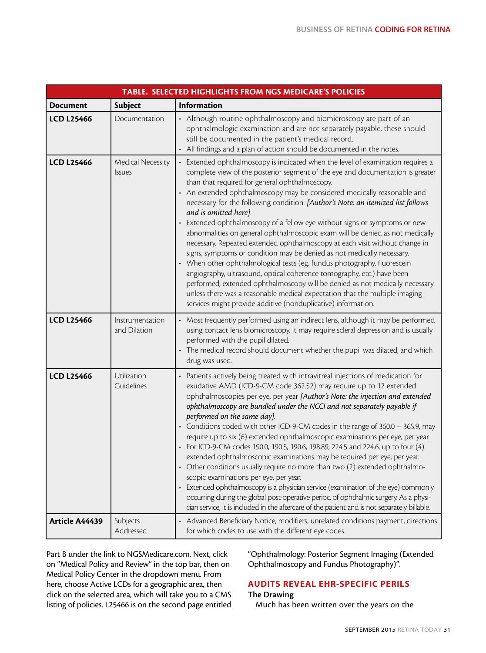| TABLE. SELECTED HIGHLIGHTS FROM NGS MEDICARE'S POLICIES |                                    |                                                                                                                                                                                                                                                                                                                                                                                                                                                                                                                                                                                                                                                                                                                                                                                                                                                                                                                                                                                                                                                                                                                  |
|---------------------------------------------------------|------------------------------------|------------------------------------------------------------------------------------------------------------------------------------------------------------------------------------------------------------------------------------------------------------------------------------------------------------------------------------------------------------------------------------------------------------------------------------------------------------------------------------------------------------------------------------------------------------------------------------------------------------------------------------------------------------------------------------------------------------------------------------------------------------------------------------------------------------------------------------------------------------------------------------------------------------------------------------------------------------------------------------------------------------------------------------------------------------------------------------------------------------------|
| <b>Document</b>                                         | <b>Subject</b>                     | <b>Information</b>                                                                                                                                                                                                                                                                                                                                                                                                                                                                                                                                                                                                                                                                                                                                                                                                                                                                                                                                                                                                                                                                                               |
| <b>LCD L25466</b>                                       | Documentation                      | • Although routine ophthalmoscopy and biomicroscopy are part of an<br>ophthalmologic examination and are not separately payable, these should<br>still be documented in the patient's medical record.<br>• All findings and a plan of action should be documented in the notes.                                                                                                                                                                                                                                                                                                                                                                                                                                                                                                                                                                                                                                                                                                                                                                                                                                  |
| <b>LCD L25466</b>                                       | Medical Necessity<br><b>Issues</b> | Extended ophthalmoscopy is indicated when the level of examination requires a<br>complete view of the posterior segment of the eye and documentation is greater<br>than that required for general ophthalmoscopy.<br>An extended ophthalmoscopy may be considered medically reasonable and<br>necessary for the following condition: [Author's Note: an itemized list follows<br>and is omitted here].<br>Extended ophthalmoscopy of a fellow eye without signs or symptoms or new<br>abnormalities on general ophthalmoscopic exam will be denied as not medically<br>necessary. Repeated extended ophthalmoscopy at each visit without change in<br>signs, symptoms or condition may be denied as not medically necessary.<br>When other ophthalmological tests (eg, fundus photography, fluorescein<br>angiography, ultrasound, optical coherence tomography, etc.) have been<br>performed, extended ophthalmoscopy will be denied as not medically necessary<br>unless there was a reasonable medical expectation that the multiple imaging<br>services might provide additive (nonduplicative) information. |
| <b>LCD L25466</b>                                       | Instrumentation<br>and Dilation    | Most frequently performed using an indirect lens, although it may be performed<br>using contact lens biomicroscopy. It may require scleral depression and is usually<br>performed with the pupil dilated.<br>The medical record should document whether the pupil was dilated, and which<br>drug was used.                                                                                                                                                                                                                                                                                                                                                                                                                                                                                                                                                                                                                                                                                                                                                                                                       |
| <b>LCD L25466</b>                                       | Utilization<br>Guidelines          | Patients actively being treated with intravitreal injections of medication for<br>exudative AMD (ICD-9-CM code 362.52) may require up to 12 extended<br>ophthalmoscopies per eye, per year [Author's Note: the injection and extended<br>ophthalmoscopy are bundled under the NCCI and not separately payable if<br>performed on the same day].<br>Conditions coded with other ICD-9-CM codes in the range of 360.0 - 365.9, may<br>require up to six (6) extended ophthalmoscopic examinations per eye, per year.<br>For ICD-9-CM codes 190.0, 190.5, 190.6, 198.89, 224.5 and 224.6, up to four (4)<br>extended ophthalmoscopic examinations may be required per eye, per year.<br>Other conditions usually require no more than two (2) extended ophthalmo-<br>scopic examinations per eye, per year.<br>Extended ophthalmoscopy is a physician service (examination of the eye) commonly<br>occurring during the global post-operative period of ophthalmic surgery. As a physi-<br>cian service, it is included in the aftercare of the patient and is not separately billable.                             |
| Article A44439                                          | Subjects<br>Addressed              | Advanced Beneficiary Notice, modifiers, unrelated conditions payment, directions<br>for which codes to use with the different eye codes.                                                                                                                                                                                                                                                                                                                                                                                                                                                                                                                                                                                                                                                                                                                                                                                                                                                                                                                                                                         |

Part B under the link to NGSMedicare.com. Next, click on "Medical Policy and Review" in the top bar, then on Medical Policy Center in the dropdown menu. From here, choose Active LCDs for a geographic area, then click on the selected area, which will take you to a CMS listing of policies. L25466 is on the second page entitled "Ophthalmology: Posterior Segment Imaging (Extended Ophthalmoscopy and Fundus Photography)".

# AUDITS REVEAL EHR-SPECIFIC PERILS The Drawing

Much has been written over the years on the